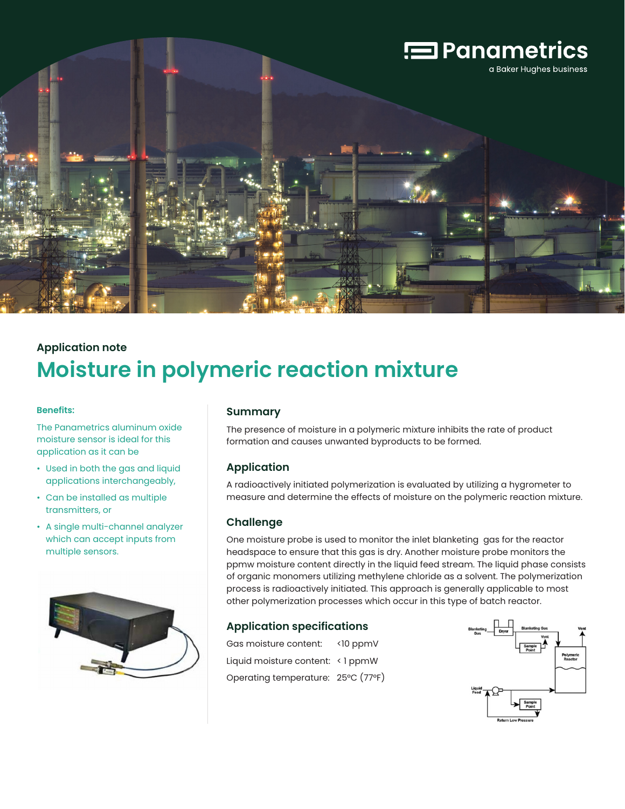

# **Application note Moisture in polymeric reaction mixture**

#### **Benefits:**

The Panametrics aluminum oxide moisture sensor is ideal for this application as it can be

- Used in both the gas and liquid applications interchangeably,
- Can be installed as multiple transmitters, or
- A single multi-channel analyzer which can accept inputs from multiple sensors.



### **Summary**

The presence of moisture in a polymeric mixture inhibits the rate of product formation and causes unwanted byproducts to be formed.

## **Application**

A radioactively initiated polymerization is evaluated by utilizing a hygrometer to measure and determine the effects of moisture on the polymeric reaction mixture.

### **Challenge**

One moisture probe is used to monitor the inlet blanketing gas for the reactor headspace to ensure that this gas is dry. Another moisture probe monitors the ppmw moisture content directly in the liquid feed stream. The liquid phase consists of organic monomers utilizing methylene chloride as a solvent. The polymerization process is radioactively initiated. This approach is generally applicable to most other polymerization processes which occur in this type of batch reactor.

## **Application specifications**

Gas moisture content: <10 ppmV Liquid moisture content: < 1 ppmW Operating temperature: 25°C (77°F)